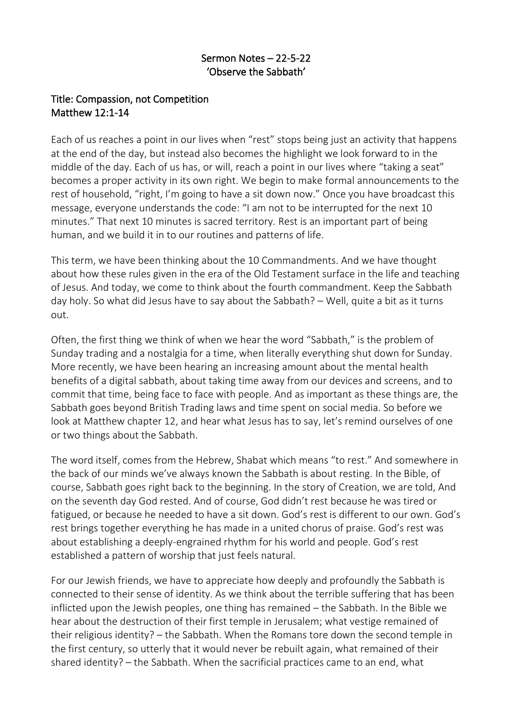## Sermon Notes – 22-5-22 'Observe the Sabbath'

## Title: Compassion, not Competition Matthew 12:1-14

Each of us reaches a point in our lives when "rest" stops being just an activity that happens at the end of the day, but instead also becomes the highlight we look forward to in the middle of the day. Each of us has, or will, reach a point in our lives where "taking a seat" becomes a proper activity in its own right. We begin to make formal announcements to the rest of household, "right, I'm going to have a sit down now." Once you have broadcast this message, everyone understands the code: "I am not to be interrupted for the next 10 minutes." That next 10 minutes is sacred territory. Rest is an important part of being human, and we build it in to our routines and patterns of life.

This term, we have been thinking about the 10 Commandments. And we have thought about how these rules given in the era of the Old Testament surface in the life and teaching of Jesus. And today, we come to think about the fourth commandment. Keep the Sabbath day holy. So what did Jesus have to say about the Sabbath? – Well, quite a bit as it turns out.

Often, the first thing we think of when we hear the word "Sabbath," is the problem of Sunday trading and a nostalgia for a time, when literally everything shut down for Sunday. More recently, we have been hearing an increasing amount about the mental health benefits of a digital sabbath, about taking time away from our devices and screens, and to commit that time, being face to face with people. And as important as these things are, the Sabbath goes beyond British Trading laws and time spent on social media. So before we look at Matthew chapter 12, and hear what Jesus has to say, let's remind ourselves of one or two things about the Sabbath.

The word itself, comes from the Hebrew, Shabat which means "to rest." And somewhere in the back of our minds we've always known the Sabbath is about resting. In the Bible, of course, Sabbath goes right back to the beginning. In the story of Creation, we are told, And on the seventh day God rested. And of course, God didn't rest because he was tired or fatigued, or because he needed to have a sit down. God's rest is different to our own. God's rest brings together everything he has made in a united chorus of praise. God's rest was about establishing a deeply-engrained rhythm for his world and people. God's rest established a pattern of worship that just feels natural.

For our Jewish friends, we have to appreciate how deeply and profoundly the Sabbath is connected to their sense of identity. As we think about the terrible suffering that has been inflicted upon the Jewish peoples, one thing has remained – the Sabbath. In the Bible we hear about the destruction of their first temple in Jerusalem; what vestige remained of their religious identity? – the Sabbath. When the Romans tore down the second temple in the first century, so utterly that it would never be rebuilt again, what remained of their shared identity? – the Sabbath. When the sacrificial practices came to an end, what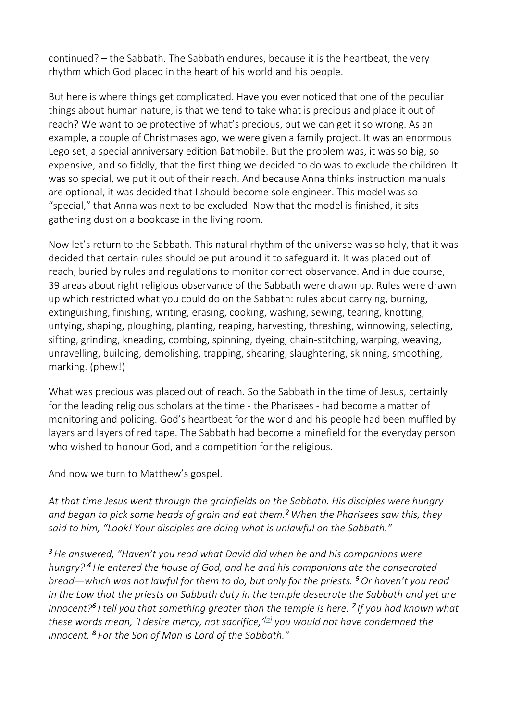continued? – the Sabbath. The Sabbath endures, because it is the heartbeat, the very rhythm which God placed in the heart of his world and his people.

But here is where things get complicated. Have you ever noticed that one of the peculiar things about human nature, is that we tend to take what is precious and place it out of reach? We want to be protective of what's precious, but we can get it so wrong. As an example, a couple of Christmases ago, we were given a family project. It was an enormous Lego set, a special anniversary edition Batmobile. But the problem was, it was so big, so expensive, and so fiddly, that the first thing we decided to do was to exclude the children. It was so special, we put it out of their reach. And because Anna thinks instruction manuals are optional, it was decided that I should become sole engineer. This model was so "special," that Anna was next to be excluded. Now that the model is finished, it sits gathering dust on a bookcase in the living room.

Now let's return to the Sabbath. This natural rhythm of the universe was so holy, that it was decided that certain rules should be put around it to safeguard it. It was placed out of reach, buried by rules and regulations to monitor correct observance. And in due course, 39 areas about right religious observance of the Sabbath were drawn up. Rules were drawn up which restricted what you could do on the Sabbath: rules about carrying, burning, extinguishing, finishing, writing, erasing, cooking, washing, sewing, tearing, knotting, untying, shaping, ploughing, planting, reaping, harvesting, threshing, winnowing, selecting, sifting, grinding, kneading, combing, spinning, dyeing, chain-stitching, warping, weaving, unravelling, building, demolishing, trapping, shearing, slaughtering, skinning, smoothing, marking. (phew!)

What was precious was placed out of reach. So the Sabbath in the time of Jesus, certainly for the leading religious scholars at the time - the Pharisees - had become a matter of monitoring and policing. God's heartbeat for the world and his people had been muffled by layers and layers of red tape. The Sabbath had become a minefield for the everyday person who wished to honour God, and a competition for the religious.

And now we turn to Matthew's gospel.

*At that time Jesus went through the grainfields on the Sabbath. His disciples were hungry and began to pick some heads of grain and eat them.<sup>2</sup>When the Pharisees saw this, they said to him, "Look! Your disciples are doing what is unlawful on the Sabbath."*

*<sup>3</sup>He answered, "Haven't you read what David did when he and his companions were hungry? <sup>4</sup>He entered the house of God, and he and his companions ate the consecrated bread—which was not lawful for them to do, but only for the priests. <sup>5</sup>Or haven't you read in the Law that the priests on Sabbath duty in the temple desecrate the Sabbath and yet are innocent?<sup>6</sup> I tell you that something greater than the temple is here. <sup>7</sup> If you had known what these words mean, 'I desire mercy, not sacrifice,'[a] you would not have condemned the innocent. <sup>8</sup> For the Son of Man is Lord of the Sabbath."*